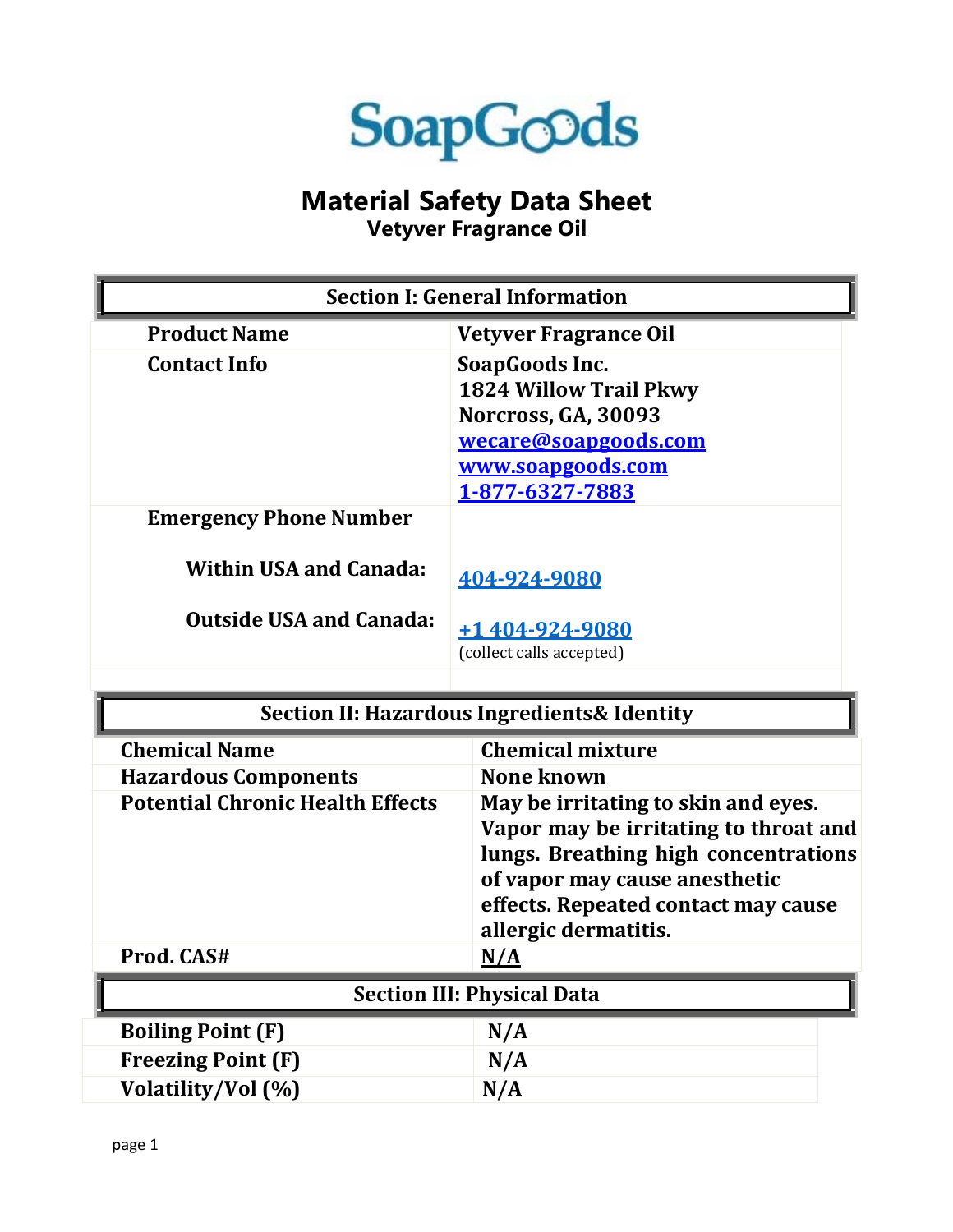

## **Material Safety Data Sheet**

**Vetyver Fragrance Oil**

| <b>Section I: General Information</b>       |                                                                               |
|---------------------------------------------|-------------------------------------------------------------------------------|
| <b>Product Name</b>                         | Vetyver Fragrance Oil                                                         |
| <b>Contact Info</b>                         | SoapGoods Inc.                                                                |
|                                             | <b>1824 Willow Trail Pkwy</b>                                                 |
|                                             | <b>Norcross, GA, 30093</b>                                                    |
|                                             | wecare@soapgoods.com                                                          |
|                                             | www.soapgoods.com                                                             |
|                                             | 1-877-6327-7883                                                               |
| <b>Emergency Phone Number</b>               |                                                                               |
| <b>Within USA and Canada:</b>               |                                                                               |
|                                             | 404-924-9080                                                                  |
| <b>Outside USA and Canada:</b>              | +1404-924-9080                                                                |
|                                             | (collect calls accepted)                                                      |
|                                             |                                                                               |
| Section II: Hazardous Ingredients& Identity |                                                                               |
|                                             |                                                                               |
| <b>Chemical Name</b>                        | <b>Chemical mixture</b>                                                       |
| <b>Hazardous Components</b>                 | <b>None known</b>                                                             |
| <b>Potential Chronic Health Effects</b>     | May be irritating to skin and eyes.                                           |
|                                             |                                                                               |
|                                             | Vapor may be irritating to throat and<br>lungs. Breathing high concentrations |
|                                             | of vapor may cause anesthetic                                                 |
|                                             | effects. Repeated contact may cause                                           |
|                                             | allergic dermatitis.                                                          |
| Prod. CAS#                                  | N/A                                                                           |
|                                             | <b>Section III: Physical Data</b>                                             |
| <b>Boiling Point (F)</b>                    | N/A                                                                           |
| <b>Freezing Point (F)</b>                   | N/A                                                                           |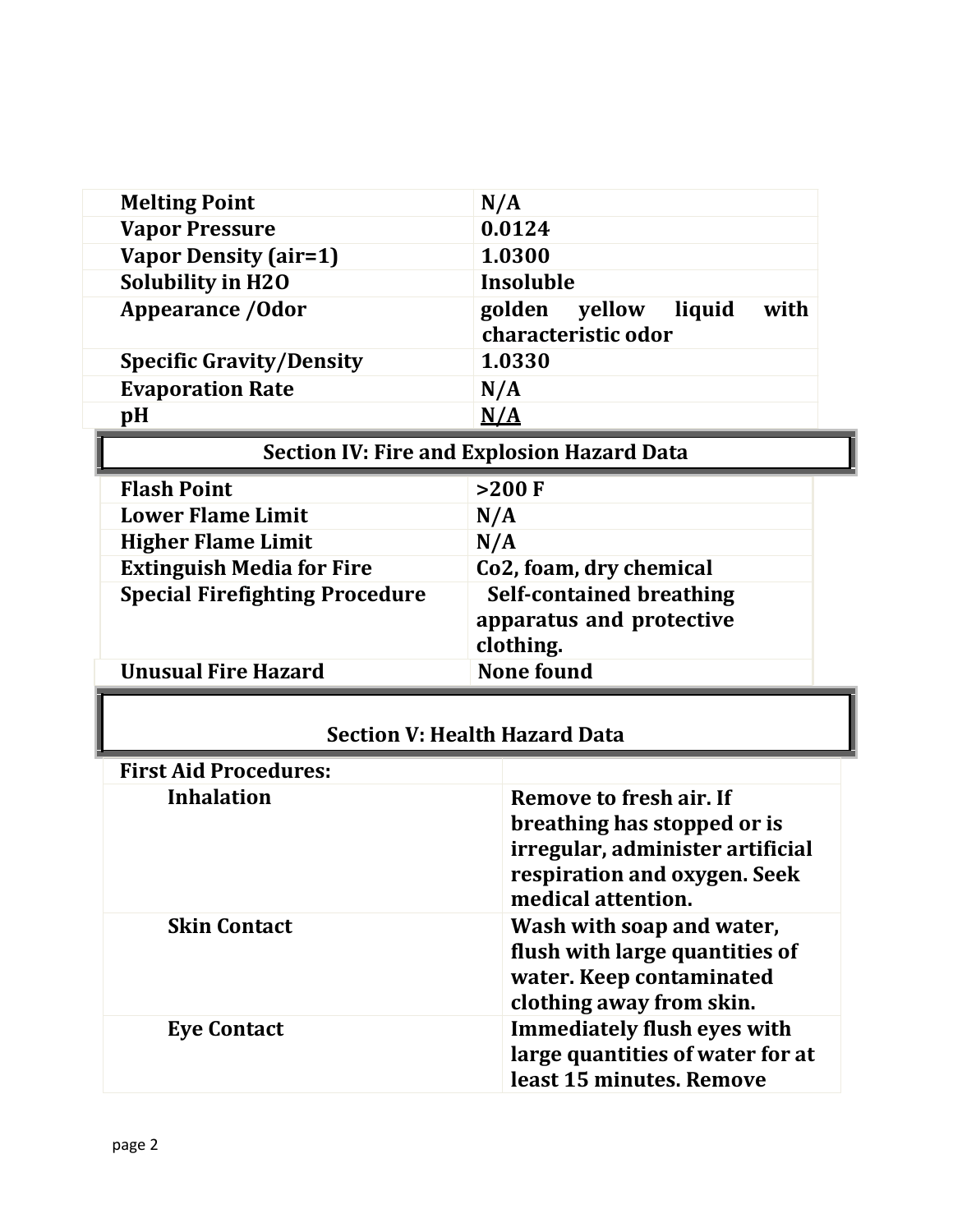| <b>Melting Point</b>                              | N/A                                                       |
|---------------------------------------------------|-----------------------------------------------------------|
| <b>Vapor Pressure</b>                             | 0.0124                                                    |
| Vapor Density (air=1)                             | 1.0300                                                    |
| <b>Solubility in H2O</b>                          | Insoluble                                                 |
| <b>Appearance / Odor</b>                          | with<br>golden<br>yellow<br>liquid<br>characteristic odor |
| <b>Specific Gravity/Density</b>                   | 1.0330                                                    |
| <b>Evaporation Rate</b>                           | N/A                                                       |
| pH                                                | N/A                                                       |
| <b>Section IV: Fire and Explosion Hazard Data</b> |                                                           |
| <b>Flash Point</b>                                | $>200$ F                                                  |
| <b>Lower Flame Limit</b>                          | N/A                                                       |
| <b>Higher Flame Limit</b>                         | N/A                                                       |
| Eytinguich Modia for Firo                         | Col foam drychomical                                      |

| <b>Extinguish Media for Fire</b>      | Co <sub>2</sub> , foam, dry chemical                                     |
|---------------------------------------|--------------------------------------------------------------------------|
| <b>Special Firefighting Procedure</b> | <b>Self-contained breathing</b><br>apparatus and protective<br>clothing. |
| <b>Unusual Fire Hazard</b>            | None found                                                               |

## **Section V: Health Hazard Data**

| <b>First Aid Procedures:</b> |                                                                                                                                                  |
|------------------------------|--------------------------------------------------------------------------------------------------------------------------------------------------|
| <b>Inhalation</b>            | Remove to fresh air. If<br>breathing has stopped or is<br>irregular, administer artificial<br>respiration and oxygen. Seek<br>medical attention. |
| <b>Skin Contact</b>          | Wash with soap and water,<br>flush with large quantities of<br>water. Keep contaminated<br>clothing away from skin.                              |
| <b>Eye Contact</b>           | <b>Immediately flush eyes with</b><br>large quantities of water for at<br>least 15 minutes. Remove                                               |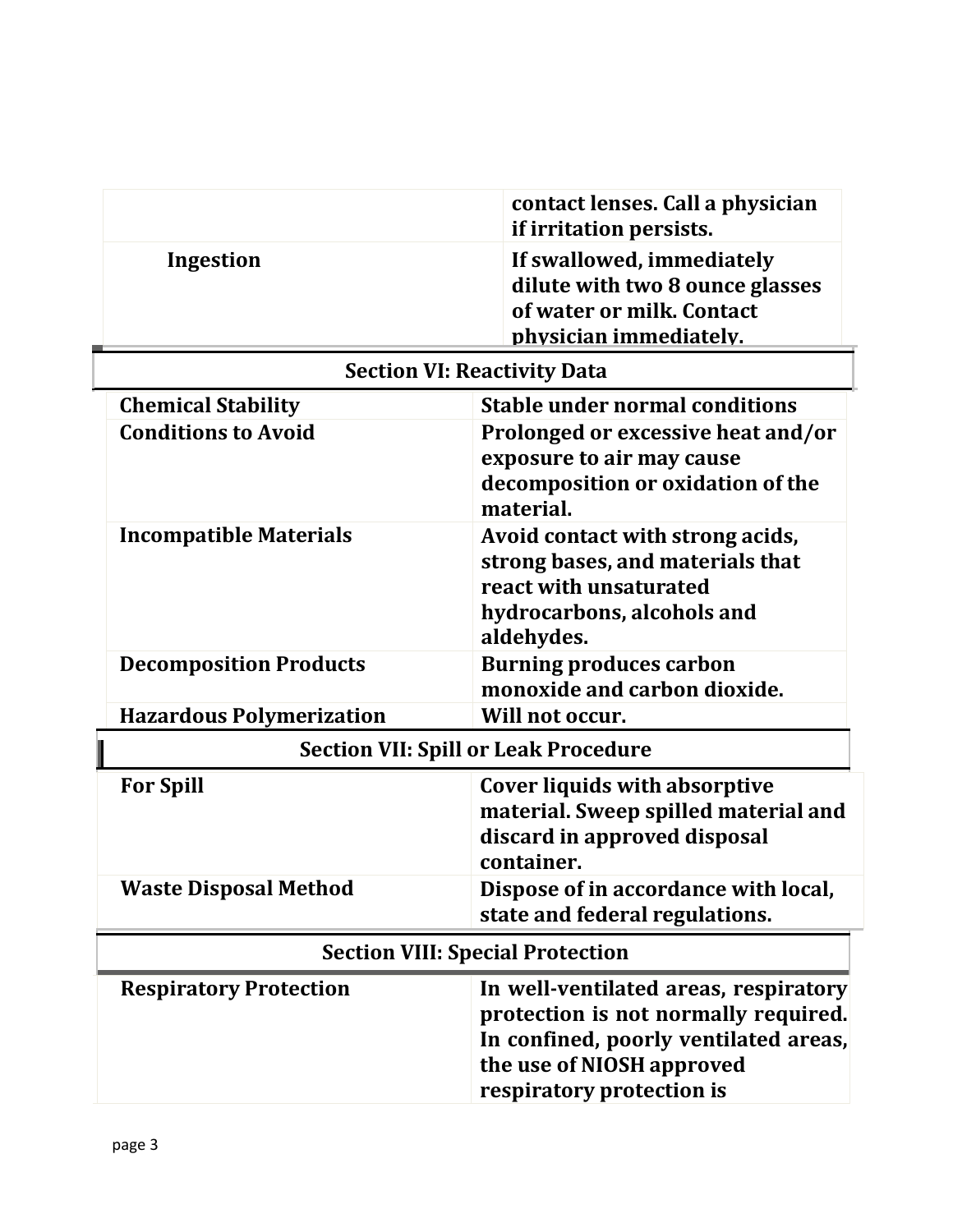|                                             | contact lenses. Call a physician<br>if irritation persists.                                                                                                                      |  |
|---------------------------------------------|----------------------------------------------------------------------------------------------------------------------------------------------------------------------------------|--|
| Ingestion                                   | If swallowed, immediately<br>dilute with two 8 ounce glasses<br>of water or milk. Contact<br>physician immediately.                                                              |  |
| <b>Section VI: Reactivity Data</b>          |                                                                                                                                                                                  |  |
| <b>Chemical Stability</b>                   | <b>Stable under normal conditions</b>                                                                                                                                            |  |
| <b>Conditions to Avoid</b>                  | Prolonged or excessive heat and/or<br>exposure to air may cause<br>decomposition or oxidation of the<br>material.                                                                |  |
| <b>Incompatible Materials</b>               | Avoid contact with strong acids,<br>strong bases, and materials that<br>react with unsaturated<br>hydrocarbons, alcohols and<br>aldehydes.                                       |  |
| <b>Decomposition Products</b>               | <b>Burning produces carbon</b><br>monoxide and carbon dioxide.                                                                                                                   |  |
| <b>Hazardous Polymerization</b>             | Will not occur.                                                                                                                                                                  |  |
| <b>Section VII: Spill or Leak Procedure</b> |                                                                                                                                                                                  |  |
| <b>For Spill</b>                            | <b>Cover liquids with absorptive</b><br>material. Sweep spilled material and<br>discard in approved disposal<br>container.                                                       |  |
| <b>Waste Disposal Method</b>                | Dispose of in accordance with local,<br>state and federal regulations.                                                                                                           |  |
| <b>Section VIII: Special Protection</b>     |                                                                                                                                                                                  |  |
| <b>Respiratory Protection</b>               | In well-ventilated areas, respiratory<br>protection is not normally required.<br>In confined, poorly ventilated areas,<br>the use of NIOSH approved<br>respiratory protection is |  |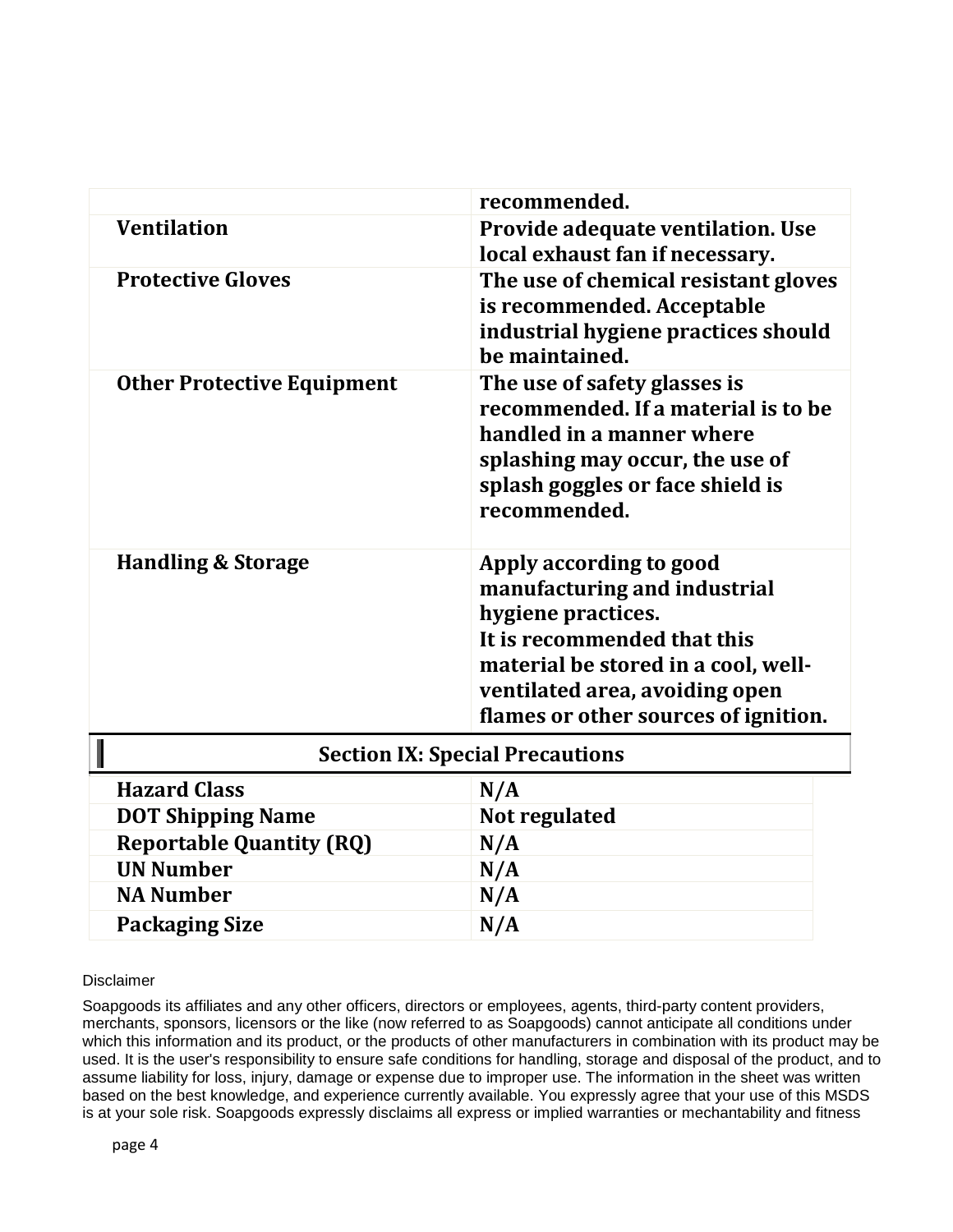|                                        | recommended.                                                                                                                                                                                                                  |
|----------------------------------------|-------------------------------------------------------------------------------------------------------------------------------------------------------------------------------------------------------------------------------|
| <b>Ventilation</b>                     | Provide adequate ventilation. Use                                                                                                                                                                                             |
|                                        | local exhaust fan if necessary.                                                                                                                                                                                               |
| <b>Protective Gloves</b>               | The use of chemical resistant gloves<br>is recommended. Acceptable<br>industrial hygiene practices should<br>be maintained.                                                                                                   |
| <b>Other Protective Equipment</b>      | The use of safety glasses is<br>recommended. If a material is to be<br>handled in a manner where<br>splashing may occur, the use of<br>splash goggles or face shield is<br>recommended.                                       |
| <b>Handling &amp; Storage</b>          | Apply according to good<br>manufacturing and industrial<br>hygiene practices.<br>It is recommended that this<br>material be stored in a cool, well-<br>ventilated area, avoiding open<br>flames or other sources of ignition. |
| <b>Section IX: Special Precautions</b> |                                                                                                                                                                                                                               |
| <b>Hazard Class</b>                    | N/A                                                                                                                                                                                                                           |
| <b>DOT Shipping Name</b>               | Not regulated                                                                                                                                                                                                                 |
| <b>Reportable Quantity (RQ)</b>        | N/A                                                                                                                                                                                                                           |
| <b>UN Number</b>                       | N/A                                                                                                                                                                                                                           |
| <b>NA Number</b>                       | N/A                                                                                                                                                                                                                           |
| <b>Packaging Size</b>                  | N/A                                                                                                                                                                                                                           |

Disclaimer

Soapgoods its affiliates and any other officers, directors or employees, agents, third-party content providers, merchants, sponsors, licensors or the like (now referred to as Soapgoods) cannot anticipate all conditions under which this information and its product, or the products of other manufacturers in combination with its product may be used. It is the user's responsibility to ensure safe conditions for handling, storage and disposal of the product, and to assume liability for loss, injury, damage or expense due to improper use. The information in the sheet was written based on the best knowledge, and experience currently available. You expressly agree that your use of this MSDS is at your sole risk. Soapgoods expressly disclaims all express or implied warranties or mechantability and fitness